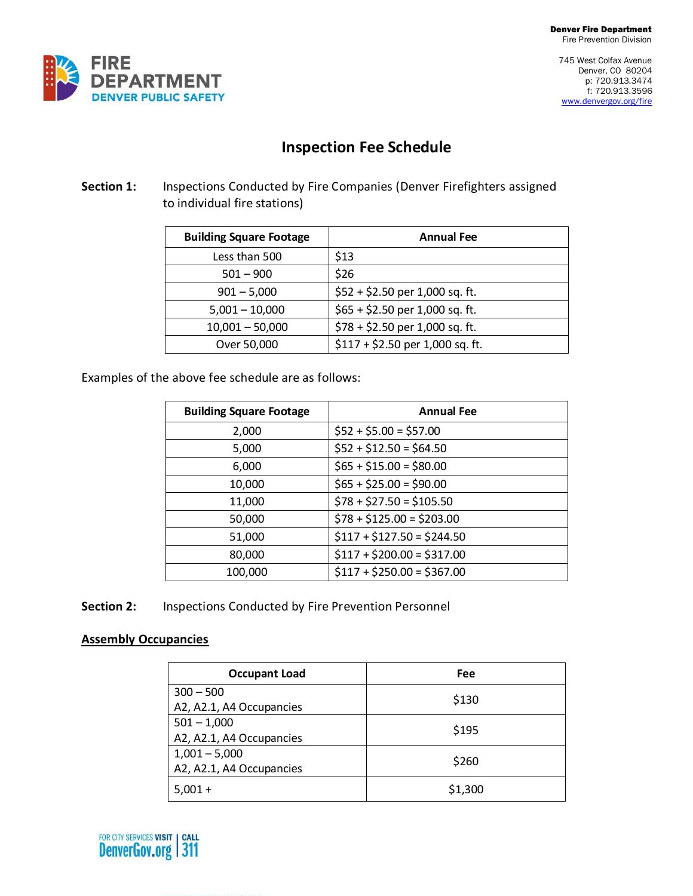745 West Colfax Avenue Denver, CO 80204 p: 720.913.3474 f: 720.913.3596 [www.denvergov.org/fire](http://www.denvergov.org/fire)



# **Inspection Fee Schedule**

#### **Section 1:** Inspections Conducted by Fire Companies (Denver Firefighters assigned to individual fire stations)

| <b>Building Square Footage</b> | <b>Annual Fee</b>                |
|--------------------------------|----------------------------------|
| Less than 500                  | \$13                             |
| $501 - 900$                    | \$26                             |
| $901 - 5,000$                  | $$52 + $2.50$ per 1,000 sq. ft.  |
| $5,001 - 10,000$               | $$65 + $2.50$ per 1,000 sq. ft.  |
| $10,001 - 50,000$              | $$78 + $2.50$ per 1,000 sq. ft.  |
| Over 50,000                    | $$117 + $2.50$ per 1,000 sq. ft. |

Examples of the above fee schedule are as follows:

| <b>Building Square Footage</b> | <b>Annual Fee</b>          |
|--------------------------------|----------------------------|
| 2,000                          | $$52 + $5.00 = $57.00$     |
| 5,000                          | $$52 + $12.50 = $64.50$    |
| 6,000                          | $$65 + $15.00 = $80.00$    |
| 10,000                         | $$65 + $25.00 = $90.00$    |
| 11,000                         | $$78 + $27.50 = $105.50$   |
| 50,000                         | $$78 + $125.00 = $203.00$  |
| 51,000                         | $$117 + $127.50 = $244.50$ |
| 80,000                         | $$117 + $200.00 = $317.00$ |
| 100,000                        | $$117 + $250.00 = $367.00$ |

**Section 2:** Inspections Conducted by Fire Prevention Personnel

#### **Assembly Occupancies**

| <b>Occupant Load</b>     | Fee     |
|--------------------------|---------|
| $300 - 500$              | \$130   |
| A2, A2.1, A4 Occupancies |         |
| $501 - 1,000$            | \$195   |
| A2, A2.1, A4 Occupancies |         |
| $1,001 - 5,000$          | \$260   |
| A2, A2.1, A4 Occupancies |         |
| $5.001 +$                | \$1,300 |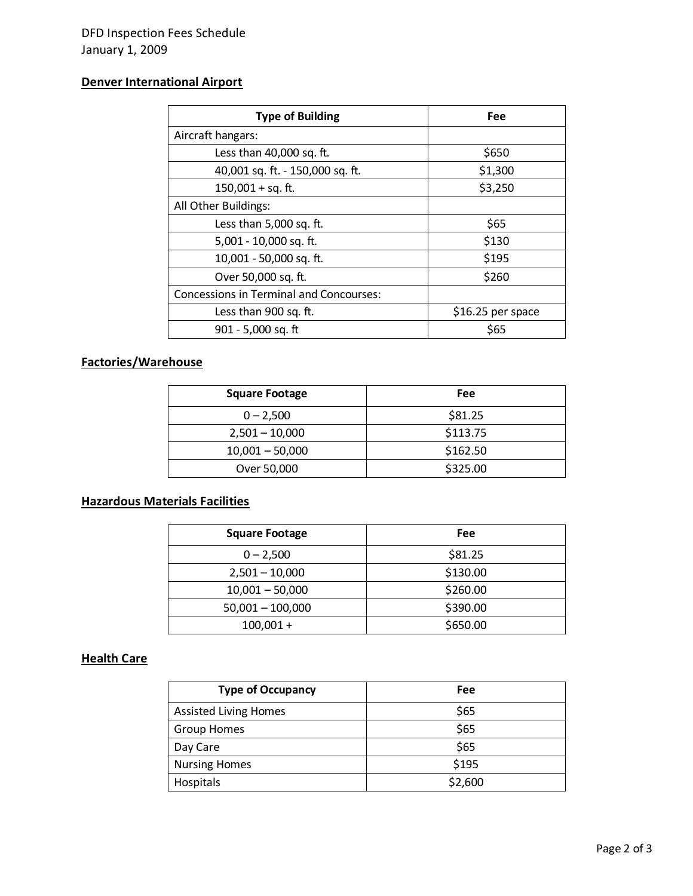### **Denver International Airport**

| <b>Type of Building</b>                        | <b>Fee</b>        |
|------------------------------------------------|-------------------|
| Aircraft hangars:                              |                   |
| Less than 40,000 sq. ft.                       | \$650             |
| 40,001 sq. ft. - 150,000 sq. ft.               | \$1,300           |
| $150,001 + sq.$ ft.                            | \$3,250           |
| All Other Buildings:                           |                   |
| Less than 5,000 sq. ft.                        | \$65              |
| 5,001 - 10,000 sq. ft.                         | \$130             |
| 10,001 - 50,000 sq. ft.                        | \$195             |
| Over 50,000 sq. ft.                            | \$260             |
| <b>Concessions in Terminal and Concourses:</b> |                   |
| Less than 900 sq. ft.                          | \$16.25 per space |
| 901 - 5,000 sq. ft                             | \$65              |

### **Factories/Warehouse**

| <b>Square Footage</b> | Fee      |
|-----------------------|----------|
| $0 - 2,500$           | \$81.25  |
| $2,501 - 10,000$      | \$113.75 |
| $10,001 - 50,000$     | \$162.50 |
| Over 50,000           | \$325.00 |

## **Hazardous Materials Facilities**

| <b>Square Footage</b> | Fee      |
|-----------------------|----------|
| $0 - 2,500$           | \$81.25  |
| $2,501 - 10,000$      | \$130.00 |
| $10,001 - 50,000$     | \$260.00 |
| $50,001 - 100,000$    | \$390.00 |
| $100,001 +$           | \$650.00 |

#### **Health Care**

| <b>Type of Occupancy</b>     | Fee     |
|------------------------------|---------|
| <b>Assisted Living Homes</b> | \$65    |
| <b>Group Homes</b>           | \$65    |
| Day Care                     | \$65    |
| <b>Nursing Homes</b>         | \$195   |
| <b>Hospitals</b>             | \$2,600 |